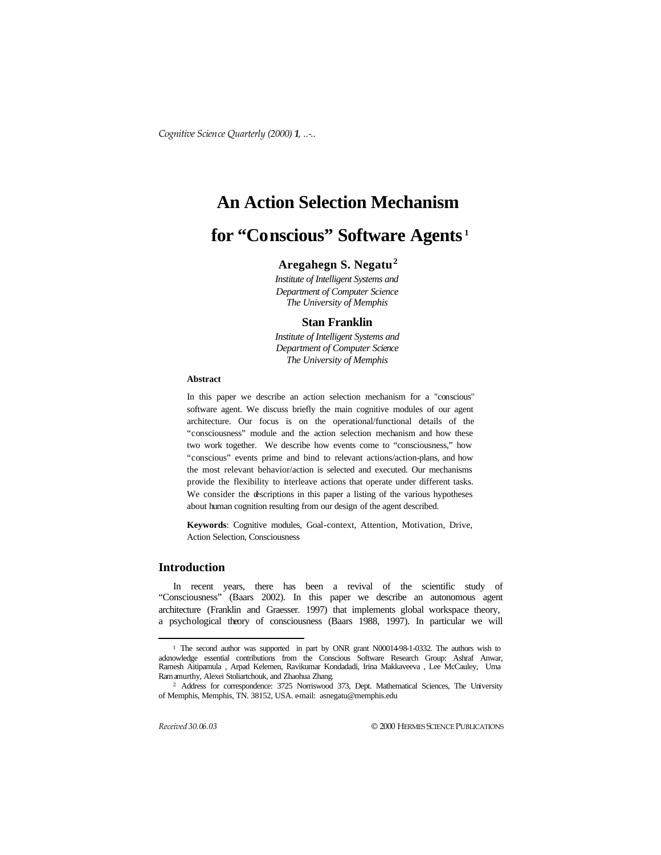# **An Action Selection Mechanism**

# **for "Conscious" Software Agents <sup>1</sup>**

# **Aregahegn S. Negatu<sup>2</sup>**

*Institute of Intelligent Systems and Department of Computer Science The University of Memphis* 

## **Stan Franklin**

*Institute of Intelligent Systems and Department of Computer Science The University of Memphis* 

# **Abstract**

In this paper we describe an action selection mechanism for a "conscious" software agent. We discuss briefly the main cognitive modules of our agent architecture. Our focus is on the operational/functional details of the "consciousness" module and the action selection mechanism and how these two work together. We describe how events come to "consciousness," how "conscious" events prime and bind to relevant actions/action-plans, and how the most relevant behavior/action is selected and executed. Our mechanisms provide the flexibility to interleave actions that operate under different tasks. We consider the descriptions in this paper a listing of the various hypotheses about human cognition resulting from our design of the agent described.

**Keywords**: Cognitive modules, Goal-context, Attention, Motivation, Drive, Action Selection, Consciousness

# **Introduction**

In recent years, there has been a revival of the scientific study of "Consciousness" (Baars 2002). In this paper we describe an autonomous agent architecture (Franklin and Graesser. 1997) that implements global workspace theory, a psychological theory of consciousness (Baars 1988, 1997). In particular we will

 $\overline{a}$ 

<sup>1</sup> The second author was supported in part by ONR grant N00014-98-1-0332. The authors wish to acknowledge essential contributions from the Conscious Software Research Group: Ashraf Anwar, Ramesh Aitipamula , Arpad Kelemen, Ravikumar Kondadadi, Irina Makkaveeva , Lee McCauley, Uma Ramamurthy, Alexei Stoliartchouk, and Zhaohua Zhang.

<sup>2</sup> Address for correspondence: 3725 Norriswood 373, Dept. Mathematical Sciences, The University of Memphis, Memphis, TN. 38152, USA. e-mail: asnegatu@memphis.edu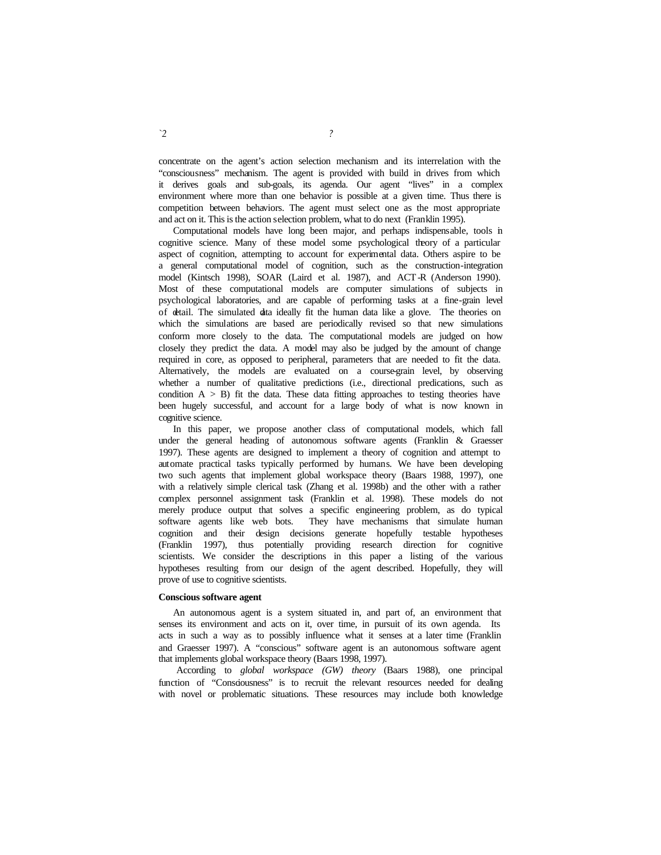concentrate on the agent's action selection mechanism and its interrelation with the "consciousness" mechanism. The agent is provided with build in drives from which it derives goals and sub-goals, its agenda. Our agent "lives" in a complex environment where more than one behavior is possible at a given time. Thus there is competition between behaviors. The agent must select one as the most appropriate and act on it. This is the action selection problem, what to do next (Franklin 1995).

Computational models have long been major, and perhaps indispensable, tools in cognitive science. Many of these model some psychological theory of a particular aspect of cognition, attempting to account for experimental data. Others aspire to be a general computational model of cognition, such as the construction-integration model (Kintsch 1998), SOAR (Laird et al. 1987), and ACT-R (Anderson 1990). Most of these computational models are computer simulations of subjects in psychological laboratories, and are capable of performing tasks at a fine-grain level of detail. The simulated data ideally fit the human data like a glove. The theories on which the simulations are based are periodically revised so that new simulations conform more closely to the data. The computational models are judged on how closely they predict the data. A model may also be judged by the amount of change required in core, as opposed to peripheral, parameters that are needed to fit the data. Alternatively, the models are evaluated on a course-grain level, by observing whether a number of qualitative predictions (i.e., directional predications, such as condition  $A > B$ ) fit the data. These data fitting approaches to testing theories have been hugely successful, and account for a large body of what is now known in cognitive science.

In this paper, we propose another class of computational models, which fall under the general heading of autonomous software agents (Franklin & Graesser 1997). These agents are designed to implement a theory of cognition and attempt to automate practical tasks typically performed by humans. We have been developing two such agents that implement global workspace theory (Baars 1988, 1997), one with a relatively simple clerical task (Zhang et al. 1998b) and the other with a rather complex personnel assignment task (Franklin et al. 1998). These models do not merely produce output that solves a specific engineering problem, as do typical software agents like web bots. They have mechanisms that simulate human cognition and their design decisions generate hopefully testable hypotheses (Franklin 1997), thus potentially providing research direction for cognitive scientists. We consider the descriptions in this paper a listing of the various hypotheses resulting from our design of the agent described. Hopefully, they will prove of use to cognitive scientists.

#### **Conscious software agent**

An autonomous agent is a system situated in, and part of, an environment that senses its environment and acts on it, over time, in pursuit of its own agenda. Its acts in such a way as to possibly influence what it senses at a later time (Franklin and Graesser 1997). A "conscious" software agent is an autonomous software agent that implements global workspace theory (Baars 1998, 1997).

According to *global workspace (GW) theory* (Baars 1988), one principal function of "Consciousness" is to recruit the relevant resources needed for dealing with novel or problematic situations. These resources may include both knowledge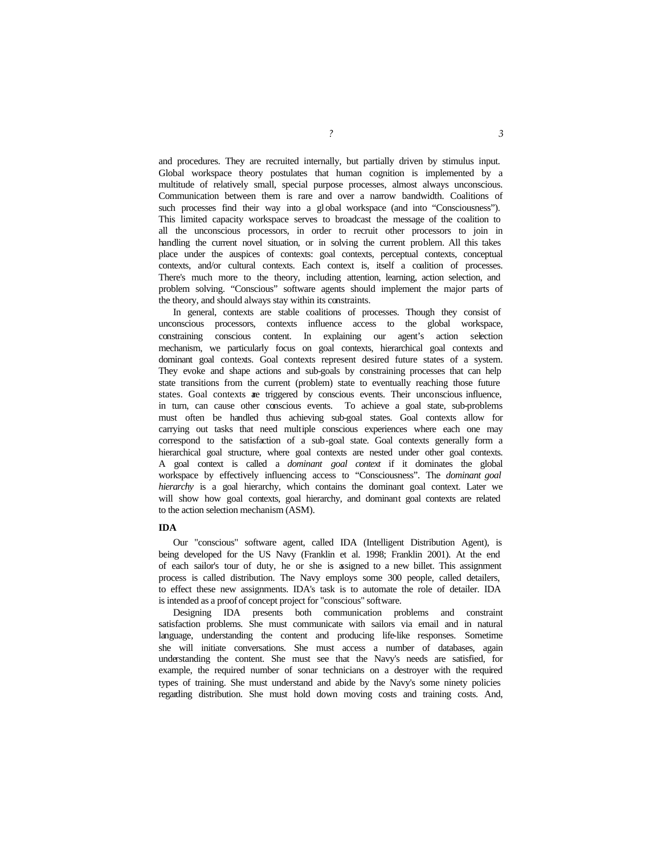and procedures. They are recruited internally, but partially driven by stimulus input. Global workspace theory postulates that human cognition is implemented by a multitude of relatively small, special purpose processes, almost always unconscious. Communication between them is rare and over a narrow bandwidth. Coalitions of such processes find their way into a global workspace (and into "Consciousness"). This limited capacity workspace serves to broadcast the message of the coalition to all the unconscious processors, in order to recruit other processors to join in handling the current novel situation, or in solving the current problem. All this takes place under the auspices of contexts: goal contexts, perceptual contexts, conceptual contexts, and/or cultural contexts. Each context is, itself a coalition of processes. There's much more to the theory, including attention, learning, action selection, and problem solving. "Conscious" software agents should implement the major parts of the theory, and should always stay within its constraints.

In general, contexts are stable coalitions of processes. Though they consist of unconscious processors, contexts influence access to the global workspace, constraining conscious content. In explaining our agent's action selection mechanism, we particularly focus on goal contexts, hierarchical goal contexts and dominant goal contexts. Goal contexts represent desired future states of a system. They evoke and shape actions and sub-goals by constraining processes that can help state transitions from the current (problem) state to eventually reaching those future states. Goal contexts are triggered by conscious events. Their unconscious influence, in turn, can cause other conscious events. To achieve a goal state, sub-problems must often be handled thus achieving sub-goal states. Goal contexts allow for carrying out tasks that need multiple conscious experiences where each one may correspond to the satisfaction of a sub-goal state. Goal contexts generally form a hierarchical goal structure, where goal contexts are nested under other goal contexts. A goal context is called a *dominant goal context* if it dominates the global workspace by effectively influencing access to "Consciousness". The *dominant goal hierarchy* is a goal hierarchy, which contains the dominant goal context. Later we will show how goal contexts, goal hierarchy, and dominant goal contexts are related to the action selection mechanism (ASM).

#### **IDA**

Our "conscious" software agent, called IDA (Intelligent Distribution Agent), is being developed for the US Navy (Franklin et al. 1998; Franklin 2001). At the end of each sailor's tour of duty, he or she is assigned to a new billet. This assignment process is called distribution. The Navy employs some 300 people, called detailers, to effect these new assignments. IDA's task is to automate the role of detailer. IDA is intended as a proof of concept project for "conscious" software.

Designing IDA presents both communication problems and constraint satisfaction problems. She must communicate with sailors via email and in natural language, understanding the content and producing life-like responses. Sometime she will initiate conversations. She must access a number of databases, again understanding the content. She must see that the Navy's needs are satisfied, for example, the required number of sonar technicians on a destroyer with the required types of training. She must understand and abide by the Navy's some ninety policies regarding distribution. She must hold down moving costs and training costs. And,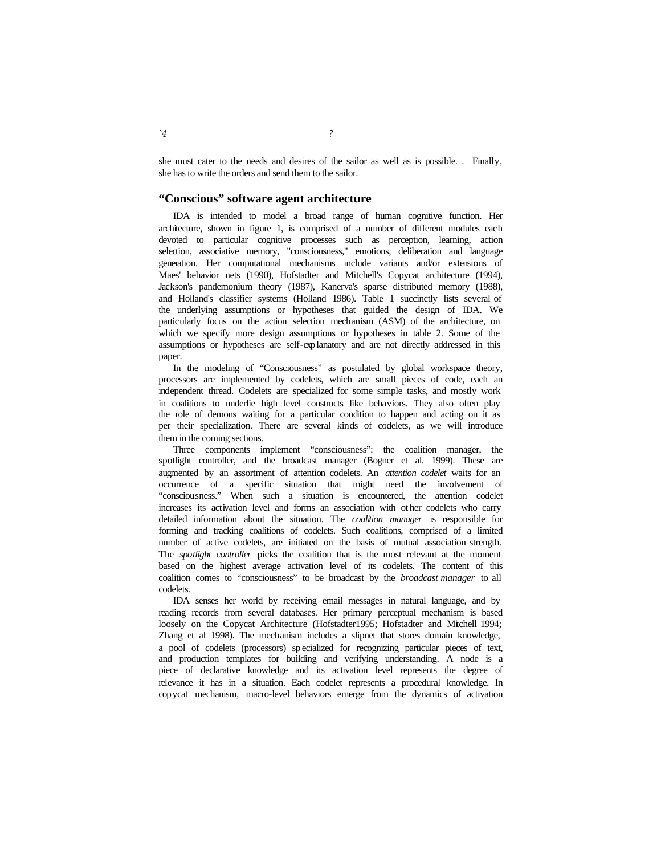she must cater to the needs and desires of the sailor as well as is possible. . Finally, she has to write the orders and send them to the sailor.

# **"Conscious" software agent architecture**

IDA is intended to model a broad range of human cognitive function. Her architecture, shown in figure 1, is comprised of a number of different modules each devoted to particular cognitive processes such as perception, learning, action selection, associative memory, "consciousness," emotions, deliberation and language generation. Her computational mechanisms include variants and/or extensions of Maes' behavior nets (1990), Hofstadter and Mitchell's Copycat architecture (1994), Jackson's pandemonium theory (1987), Kanerva's sparse distributed memory (1988), and Holland's classifier systems (Holland 1986). Table 1 succinctly lists several of the underlying assumptions or hypotheses that guided the design of IDA. We particularly focus on the action selection mechanism (ASM) of the architecture, on which we specify more design assumptions or hypotheses in table 2. Some of the assumptions or hypotheses are self-explanatory and are not directly addressed in this paper.

In the modeling of "Consciousness" as postulated by global workspace theory, processors are implemented by codelets, which are small pieces of code, each an independent thread. Codelets are specialized for some simple tasks, and mostly work in coalitions to underlie high level constructs like behaviors. They also often play the role of demons waiting for a particular condition to happen and acting on it as per their specialization. There are several kinds of codelets, as we will introduce them in the coming sections.

Three components implement "consciousness": the coalition manager, the spotlight controller, and the broadcast manager (Bogner et al. 1999). These are augmented by an assortment of attention codelets. An *attention codelet* waits for an occurrence of a specific situation that might need the involvement of "consciousness." When such a situation is encountered, the attention codelet increases its activation level and forms an association with ot her codelets who carry detailed information about the situation. The *coalition manager* is responsible for forming and tracking coalitions of codelets. Such coalitions, comprised of a limited number of active codelets, are initiated on the basis of mutual association strength. The *spotlight controller* picks the coalition that is the most relevant at the moment based on the highest average activation level of its codelets. The content of this coalition comes to "consciousness" to be broadcast by the *broadcast manager* to all codelets.

IDA senses her world by receiving email messages in natural language, and by reading records from several databases. Her primary perceptual mechanism is based loosely on the Copycat Architecture (Hofstadter1995; Hofstadter and Mitchell 1994; Zhang et al 1998). The mechanism includes a slipnet that stores domain knowledge, a pool of codelets (processors) sp ecialized for recognizing particular pieces of text, and production templates for building and verifying understanding. A node is a piece of declarative knowledge and its activation level represents the degree of relevance it has in a situation. Each codelet represents a procedural knowledge. In copycat mechanism, macro-level behaviors emerge from the dynamics of activation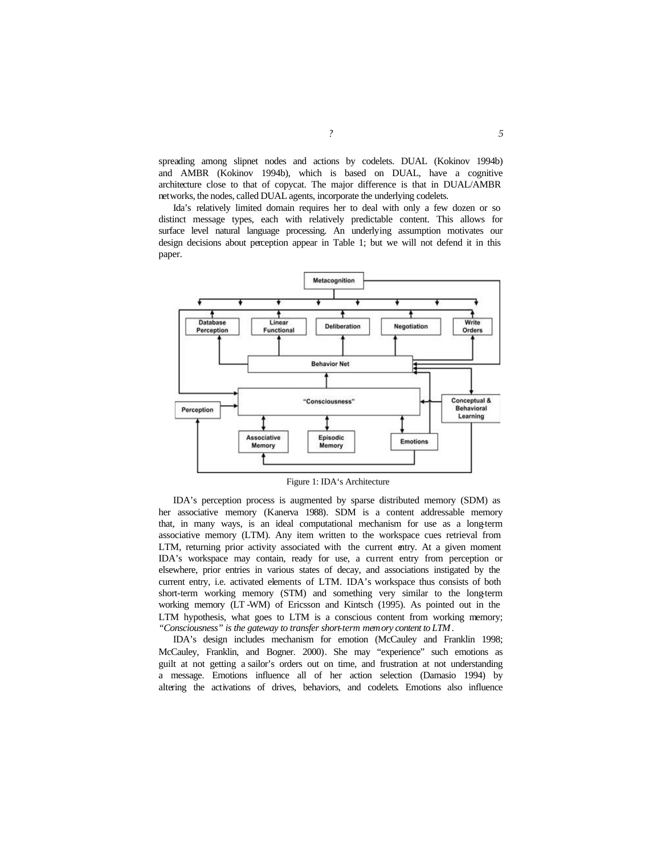spreading among slipnet nodes and actions by codelets. DUAL (Kokinov 1994b) and AMBR (Kokinov 1994b), which is based on DUAL, have a cognitive architecture close to that of copycat. The major difference is that in DUAL/AMBR networks, the nodes, called DUAL agents, incorporate the underlying codelets.

Ida's relatively limited domain requires her to deal with only a few dozen or so distinct message types, each with relatively predictable content. This allows for surface level natural language processing. An underlying assumption motivates our design decisions about perception appear in Table 1; but we will not defend it in this paper.



Figure 1: IDA's Architecture

IDA's perception process is augmented by sparse distributed memory (SDM) as her associative memory (Kanerva 1988). SDM is a content addressable memory that, in many ways, is an ideal computational mechanism for use as a long-term associative memory (LTM). Any item written to the workspace cues retrieval from LTM, returning prior activity associated with the current entry. At a given moment IDA's workspace may contain, ready for use, a current entry from perception or elsewhere, prior entries in various states of decay, and associations instigated by the current entry, i.e. activated elements of LTM. IDA's workspace thus consists of both short-term working memory (STM) and something very similar to the long-term working memory (LT -WM) of Ericsson and Kintsch (1995). As pointed out in the LTM hypothesis, what goes to LTM is a conscious content from working memory; *"Consciousness" is the gateway to transfer short-term memory content to LTM*.

IDA's design includes mechanism for emotion (McCauley and Franklin 1998; McCauley, Franklin, and Bogner. 2000). She may "experience" such emotions as guilt at not getting a sailor's orders out on time, and frustration at not understanding a message. Emotions influence all of her action selection (Damasio 1994) by altering the activations of drives, behaviors, and codelets. Emotions also influence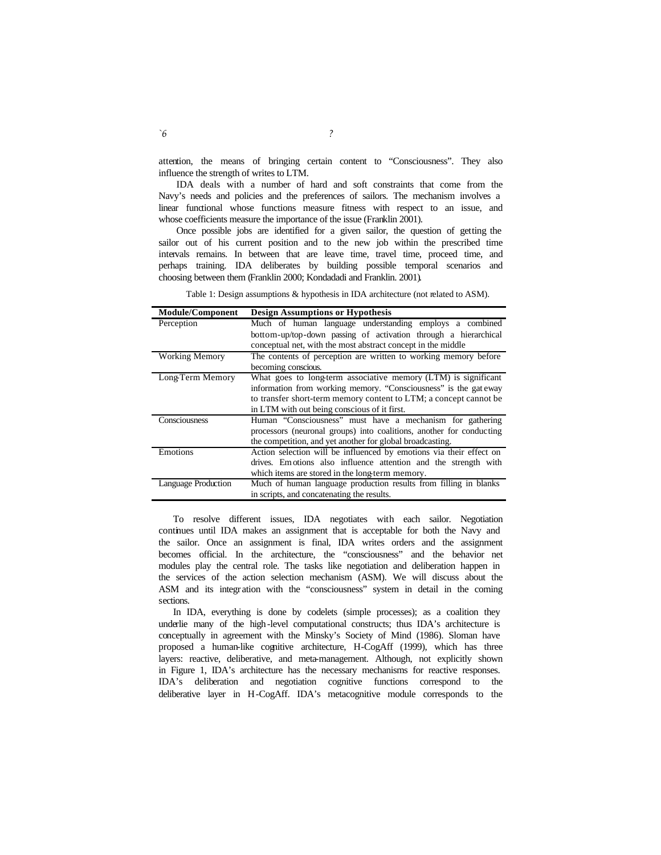attention, the means of bringing certain content to "Consciousness". They also influence the strength of writes to LTM.

IDA deals with a number of hard and soft constraints that come from the Navy's needs and policies and the preferences of sailors. The mechanism involves a linear functional whose functions measure fitness with respect to an issue, and whose coefficients measure the importance of the issue (Franklin 2001).

Once possible jobs are identified for a given sailor, the question of getting the sailor out of his current position and to the new job within the prescribed time intervals remains. In between that are leave time, travel time, proceed time, and perhaps training. IDA deliberates by building possible temporal scenarios and choosing between them (Franklin 2000; Kondadadi and Franklin. 2001).

Table 1: Design assumptions & hypothesis in IDA architecture (not related to ASM).

| <b>Module/Component</b> | <b>Design Assumptions or Hypothesis</b>                              |
|-------------------------|----------------------------------------------------------------------|
| Perception              | Much of human language understanding employs a combined              |
|                         | bottom-up/top-down passing of activation through a hierarchical      |
|                         | conceptual net, with the most abstract concept in the middle         |
| <b>Working Memory</b>   | The contents of perception are written to working memory before      |
|                         | becoming conscious.                                                  |
| Long-Term Memory        | What goes to long-term associative memory (LTM) is significant       |
|                         | information from working memory. "Consciousness" is the gateway      |
|                         | to transfer short-term memory content to LTM; a concept cannot be    |
|                         | in LTM with out being conscious of it first.                         |
| Consciousness           | Human "Consciousness" must have a mechanism for gathering            |
|                         | processors (neuronal groups) into coalitions, another for conducting |
|                         | the competition, and yet another for global broadcasting.            |
| Emotions                | Action selection will be influenced by emotions via their effect on  |
|                         | drives. Emotions also influence attention and the strength with      |
|                         | which items are stored in the long-term memory.                      |
| Language Production     | Much of human language production results from filling in blanks     |
|                         | in scripts, and concatenating the results.                           |

To resolve different issues, IDA negotiates with each sailor. Negotiation continues until IDA makes an assignment that is acceptable for both the Navy and the sailor. Once an assignment is final, IDA writes orders and the assignment becomes official. In the architecture, the "consciousness" and the behavior net modules play the central role. The tasks like negotiation and deliberation happen in the services of the action selection mechanism (ASM). We will discuss about the ASM and its integr ation with the "consciousness" system in detail in the coming sections.

In IDA, everything is done by codelets (simple processes); as a coalition they underlie many of the high-level computational constructs; thus IDA's architecture is conceptually in agreement with the Minsky's Society of Mind (1986). Sloman have proposed a human-like cognitive architecture, H-CogAff (1999), which has three layers: reactive, deliberative, and meta-management. Although, not explicitly shown in Figure 1, IDA's architecture has the necessary mechanisms for reactive responses. IDA's deliberation and negotiation cognitive functions correspond to the deliberative layer in H-CogAff. IDA's metacognitive module corresponds to the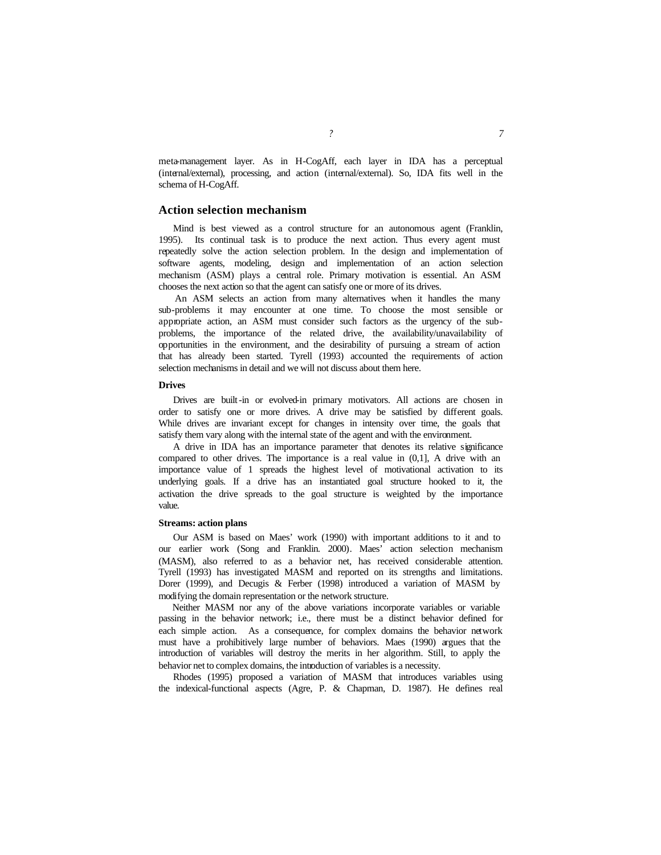meta-management layer. As in H-CogAff, each layer in IDA has a perceptual (internal/external), processing, and action (internal/external). So, IDA fits well in the schema of H-CogAff.

## **Action selection mechanism**

Mind is best viewed as a control structure for an autonomous agent (Franklin, 1995). Its continual task is to produce the next action. Thus every agent must repeatedly solve the action selection problem. In the design and implementation of software agents, modeling, design and implementation of an action selection mechanism (ASM) plays a central role. Primary motivation is essential. An ASM chooses the next action so that the agent can satisfy one or more of its drives.

 An ASM selects an action from many alternatives when it handles the many sub-problems it may encounter at one time. To choose the most sensible or appropriate action, an ASM must consider such factors as the urgency of the subproblems, the importance of the related drive, the availability/unavailability of opportunities in the environment, and the desirability of pursuing a stream of action that has already been started. Tyrell (1993) accounted the requirements of action selection mechanisms in detail and we will not discuss about them here.

## **Drives**

Drives are built-in or evolved-in primary motivators. All actions are chosen in order to satisfy one or more drives. A drive may be satisfied by different goals. While drives are invariant except for changes in intensity over time, the goals that satisfy them vary along with the internal state of the agent and with the environment.

A drive in IDA has an importance parameter that denotes its relative significance compared to other drives. The importance is a real value in  $(0,1]$ , A drive with an importance value of 1 spreads the highest level of motivational activation to its underlying goals. If a drive has an instantiated goal structure hooked to it, the activation the drive spreads to the goal structure is weighted by the importance value.

#### **Streams: action plans**

Our ASM is based on Maes' work (1990) with important additions to it and to our earlier work (Song and Franklin. 2000). Maes' action selection mechanism (MASM), also referred to as a behavior net, has received considerable attention. Tyrell (1993) has investigated MASM and reported on its strengths and limitations. Dorer (1999), and Decugis & Ferber (1998) introduced a variation of MASM by modifying the domain representation or the network structure.

Neither MASM nor any of the above variations incorporate variables or variable passing in the behavior network; i.e., there must be a distinct behavior defined for each simple action. As a consequence, for complex domains the behavior network must have a prohibitively large number of behaviors. Maes (1990) argues that the introduction of variables will destroy the merits in her algorithm. Still, to apply the behavior net to complex domains, the introduction of variables is a necessity.

Rhodes (1995) proposed a variation of MASM that introduces variables using the indexical-functional aspects (Agre, P. & Chapman, D. 1987). He defines real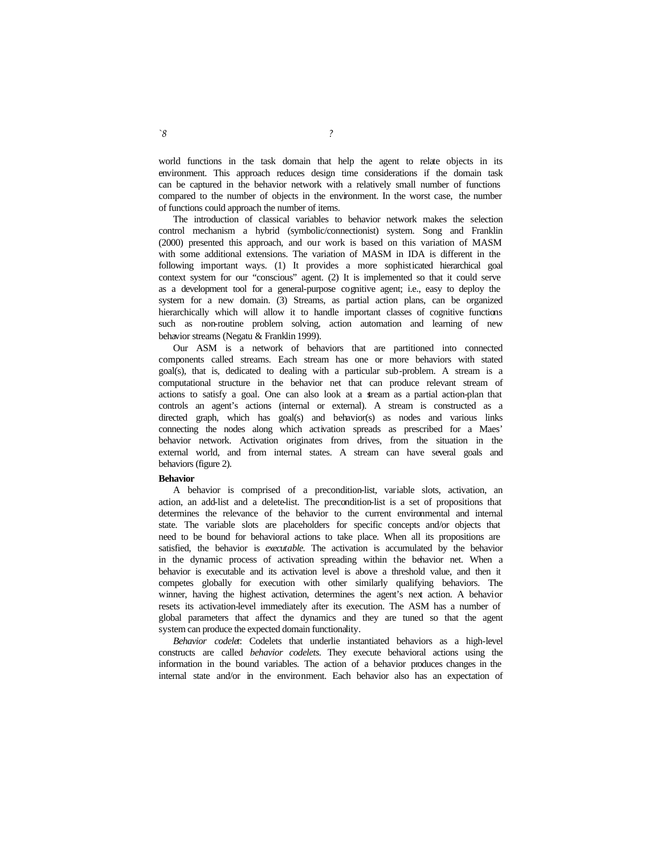world functions in the task domain that help the agent to relate objects in its environment. This approach reduces design time considerations if the domain task can be captured in the behavior network with a relatively small number of functions compared to the number of objects in the environment. In the worst case, the number of functions could approach the number of items.

The introduction of classical variables to behavior network makes the selection control mechanism a hybrid (symbolic/connectionist) system. Song and Franklin (2000) presented this approach, and our work is based on this variation of MASM with some additional extensions. The variation of MASM in IDA is different in the following important ways. (1) It provides a more sophisticated hierarchical goal context system for our "conscious" agent. (2) It is implemented so that it could serve as a development tool for a general-purpose cognitive agent; i.e., easy to deploy the system for a new domain. (3) Streams, as partial action plans, can be organized hierarchically which will allow it to handle important classes of cognitive functions such as non-routine problem solving, action automation and learning of new behavior streams (Negatu & Franklin 1999).

Our ASM is a network of behaviors that are partitioned into connected components called streams. Each stream has one or more behaviors with stated goal(s), that is, dedicated to dealing with a particular sub-problem. A stream is a computational structure in the behavior net that can produce relevant stream of actions to satisfy a goal. One can also look at a stream as a partial action-plan that controls an agent's actions (internal or external). A stream is constructed as a directed graph, which has goal(s) and behavior(s) as nodes and various links connecting the nodes along which activation spreads as prescribed for a Maes' behavior network. Activation originates from drives, from the situation in the external world, and from internal states. A stream can have several goals and behaviors (figure 2).

#### **Behavior**

A behavior is comprised of a precondition-list, variable slots, activation, an action, an add-list and a delete-list. The precondition-list is a set of propositions that determines the relevance of the behavior to the current environmental and internal state. The variable slots are placeholders for specific concepts and/or objects that need to be bound for behavioral actions to take place. When all its propositions are satisfied, the behavior is *executable.* The activation is accumulated by the behavior in the dynamic process of activation spreading within the behavior net. When a behavior is executable and its activation level is above a threshold value, and then it competes globally for execution with other similarly qualifying behaviors. The winner, having the highest activation, determines the agent's next action. A behavior resets its activation-level immediately after its execution. The ASM has a number of global parameters that affect the dynamics and they are tuned so that the agent system can produce the expected domain functionality.

*Behavior codelet*: Codelets that underlie instantiated behaviors as a high-level constructs are called *behavior codelets.* They execute behavioral actions using the information in the bound variables. The action of a behavior produces changes in the internal state and/or in the environment. Each behavior also has an expectation of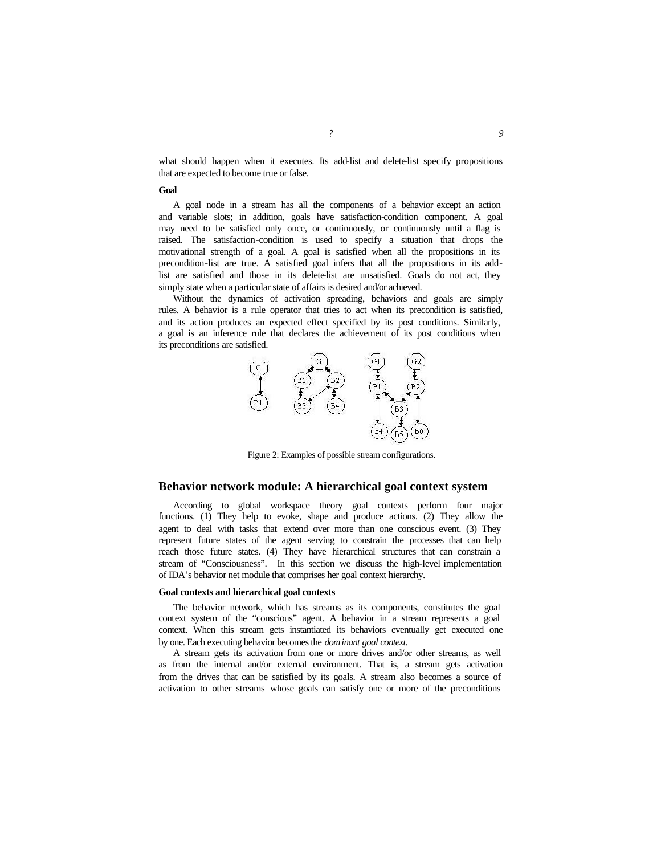what should happen when it executes. Its add-list and delete-list specify propositions that are expected to become true or false.

#### **Goal**

A goal node in a stream has all the components of a behavior except an action and variable slots; in addition, goals have satisfaction-condition component. A goal may need to be satisfied only once, or continuously, or continuously until a flag is raised. The satisfaction-condition is used to specify a situation that drops the motivational strength of a goal. A goal is satisfied when all the propositions in its precondition-list are true. A satisfied goal infers that all the propositions in its addlist are satisfied and those in its delete-list are unsatisfied. Goals do not act, they simply state when a particular state of affairs is desired and/or achieved.

Without the dynamics of activation spreading, behaviors and goals are simply rules. A behavior is a rule operator that tries to act when its precondition is satisfied, and its action produces an expected effect specified by its post conditions. Similarly, a goal is an inference rule that declares the achievement of its post conditions when its preconditions are satisfied.



Figure 2: Examples of possible stream configurations.

# **Behavior network module: A hierarchical goal context system**

According to global workspace theory goal contexts perform four major functions. (1) They help to evoke, shape and produce actions. (2) They allow the agent to deal with tasks that extend over more than one conscious event. (3) They represent future states of the agent serving to constrain the processes that can help reach those future states. (4) They have hierarchical structures that can constrain a stream of "Consciousness". In this section we discuss the high-level implementation of IDA's behavior net module that comprises her goal context hierarchy.

#### **Goal contexts and hierarchical goal contexts**

The behavior network, which has streams as its components, constitutes the goal context system of the "conscious" agent. A behavior in a stream represents a goal context. When this stream gets instantiated its behaviors eventually get executed one by one. Each executing behavior becomes the *dominant goal context*.

A stream gets its activation from one or more drives and/or other streams, as well as from the internal and/or external environment. That is, a stream gets activation from the drives that can be satisfied by its goals. A stream also becomes a source of activation to other streams whose goals can satisfy one or more of the preconditions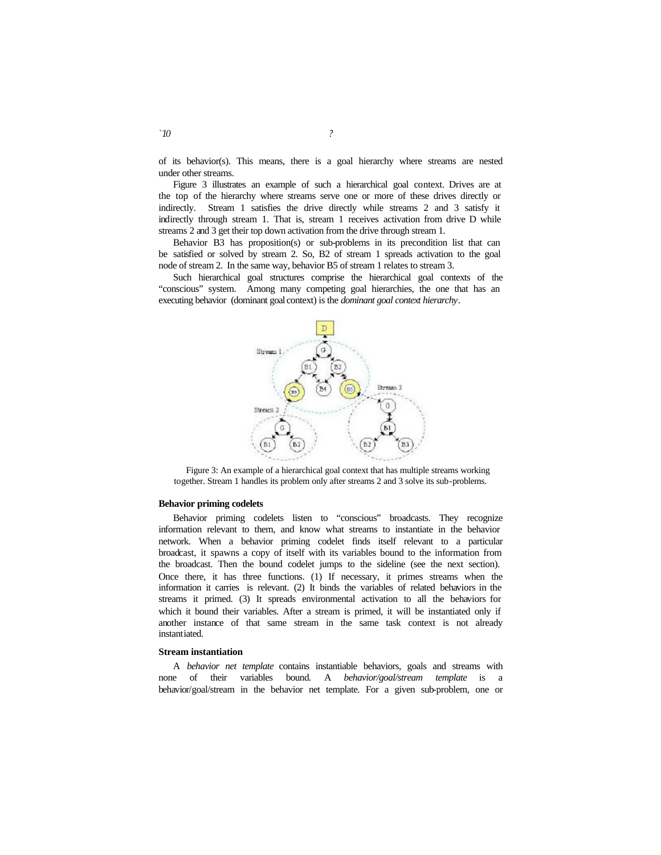of its behavior(s). This means, there is a goal hierarchy where streams are nested under other streams.

Figure 3 illustrates an example of such a hierarchical goal context. Drives are at the top of the hierarchy where streams serve one or more of these drives directly or indirectly. Stream 1 satisfies the drive directly while streams 2 and 3 satisfy it indirectly through stream 1. That is, stream 1 receives activation from drive D while streams 2 and 3 get their top down activation from the drive through stream 1.

Behavior B3 has proposition(s) or sub-problems in its precondition list that can be satisfied or solved by stream 2. So, B2 of stream 1 spreads activation to the goal node of stream 2. In the same way, behavior B5 of stream 1 relates to stream 3.

Such hierarchical goal structures comprise the hierarchical goal contexts of the "conscious" system. Among many competing goal hierarchies, the one that has an executing behavior (dominant goal context) is the *dominant goal context hierarchy*.



Figure 3: An example of a hierarchical goal context that has multiple streams working together. Stream 1 handles its problem only after streams 2 and 3 solve its sub-problems.

#### **Behavior priming codelets**

Behavior priming codelets listen to "conscious" broadcasts. They recognize information relevant to them, and know what streams to instantiate in the behavior network. When a behavior priming codelet finds itself relevant to a particular broadcast, it spawns a copy of itself with its variables bound to the information from the broadcast. Then the bound codelet jumps to the sideline (see the next section). Once there, it has three functions. (1) If necessary, it primes streams when the information it carries is relevant. (2) It binds the variables of related behaviors in the streams it primed. (3) It spreads environmental activation to all the behaviors for which it bound their variables. After a stream is primed, it will be instantiated only if another instance of that same stream in the same task context is not already instantiated.

#### **Stream instantiation**

A *behavior net template* contains instantiable behaviors, goals and streams with none of their variables bound. A *behavior/goal/stream template* is a behavior/goal/stream in the behavior net template. For a given sub-problem, one or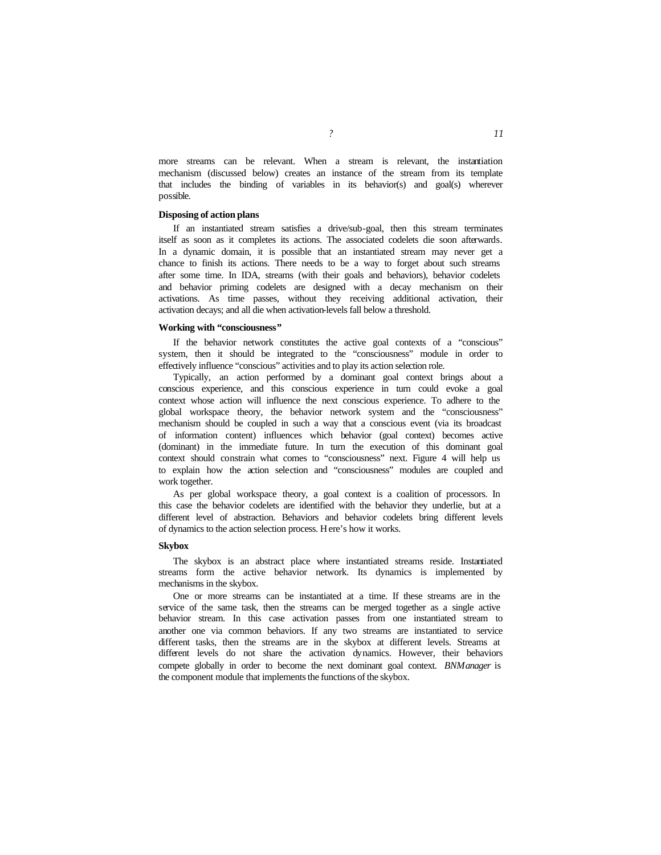more streams can be relevant. When a stream is relevant, the instantiation mechanism (discussed below) creates an instance of the stream from its template that includes the binding of variables in its behavior(s) and goal(s) wherever possible.

#### **Disposing of action plans**

If an instantiated stream satisfies a drive/sub-goal, then this stream terminates itself as soon as it completes its actions. The associated codelets die soon afterwards. In a dynamic domain, it is possible that an instantiated stream may never get a chance to finish its actions. There needs to be a way to forget about such streams after some time. In IDA, streams (with their goals and behaviors), behavior codelets and behavior priming codelets are designed with a decay mechanism on their activations. As time passes, without they receiving additional activation, their activation decays; and all die when activation-levels fall below a threshold.

## **Working with "consciousness"**

If the behavior network constitutes the active goal contexts of a "conscious" system, then it should be integrated to the "consciousness" module in order to effectively influence "conscious" activities and to play its action selection role.

Typically, an action performed by a dominant goal context brings about a conscious experience, and this conscious experience in turn could evoke a goal context whose action will influence the next conscious experience. To adhere to the global workspace theory, the behavior network system and the "consciousness" mechanism should be coupled in such a way that a conscious event (via its broadcast of information content) influences which behavior (goal context) becomes active (dominant) in the immediate future. In turn the execution of this dominant goal context should constrain what comes to "consciousness" next. Figure 4 will help us to explain how the action selection and "consciousness" modules are coupled and work together.

As per global workspace theory, a goal context is a coalition of processors. In this case the behavior codelets are identified with the behavior they underlie, but at a different level of abstraction. Behaviors and behavior codelets bring different levels of dynamics to the action selection process. Here's how it works.

#### **Skybox**

The skybox is an abstract place where instantiated streams reside. Instantiated streams form the active behavior network. Its dynamics is implemented by mechanisms in the skybox.

One or more streams can be instantiated at a time. If these streams are in the service of the same task, then the streams can be merged together as a single active behavior stream. In this case activation passes from one instantiated stream to another one via common behaviors. If any two streams are instantiated to service different tasks, then the streams are in the skybox at different levels. Streams at different levels do not share the activation dynamics. However, their behaviors compete globally in order to become the next dominant goal context. *BNManager* is the component module that implements the functions of the skybox.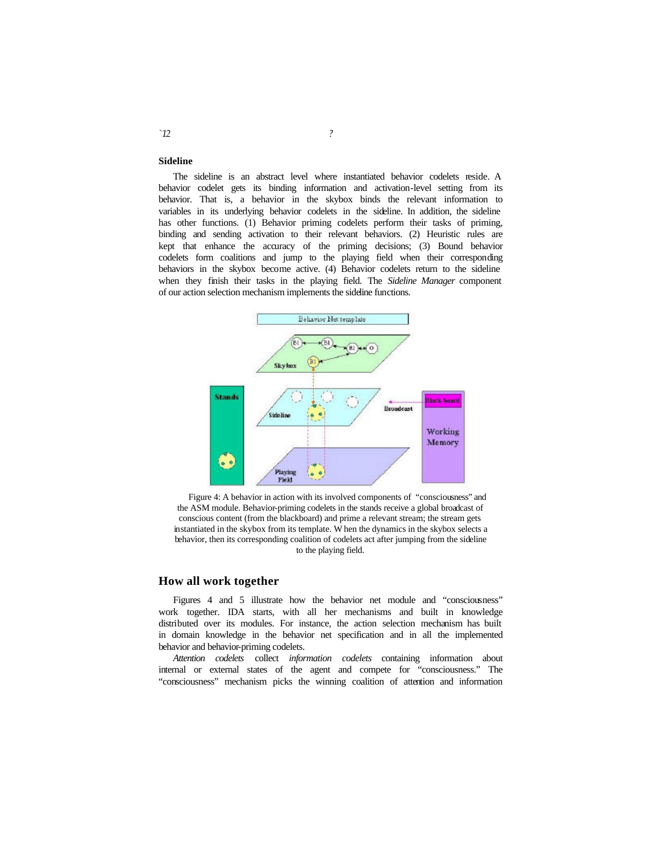## **Sideline**

The sideline is an abstract level where instantiated behavior codelets reside. A behavior codelet gets its binding information and activation-level setting from its behavior. That is, a behavior in the skybox binds the relevant information to variables in its underlying behavior codelets in the sideline. In addition, the sideline has other functions. (1) Behavior priming codelets perform their tasks of priming, binding and sending activation to their relevant behaviors. (2) Heuristic rules are kept that enhance the accuracy of the priming decisions; (3) Bound behavior codelets form coalitions and jump to the playing field when their corresponding behaviors in the skybox become active. (4) Behavior codelets return to the sideline when they finish their tasks in the playing field. The *Sideline Manager* component of our action selection mechanism implements the sideline functions.



Figure 4: A behavior in action with its involved components of "consciousness" and the ASM module. Behavior-priming codelets in the stands receive a global broadcast of conscious content (from the blackboard) and prime a relevant stream; the stream gets instantiated in the skybox from its template. W hen the dynamics in the skybox selects a behavior, then its corresponding coalition of codelets act after jumping from the sideline to the playing field.

# **How all work together**

Figures 4 and 5 illustrate how the behavior net module and "consciousness" work together. IDA starts, with all her mechanisms and built in knowledge distributed over its modules. For instance, the action selection mechanism has built in domain knowledge in the behavior net specification and in all the implemented behavior and behavior-priming codelets.

*Attention codelets* collect *information codelets* containing information about internal or external states of the agent and compete for "consciousness." The "consciousness" mechanism picks the winning coalition of attention and information

#### *`12 ?*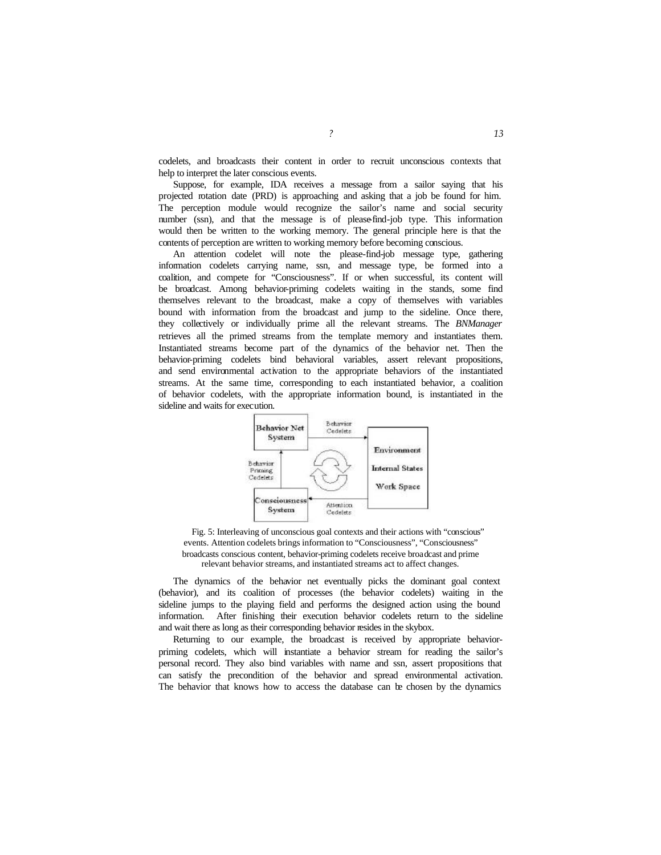codelets, and broadcasts their content in order to recruit unconscious contexts that help to interpret the later conscious events.

Suppose, for example, IDA receives a message from a sailor saying that his projected rotation date (PRD) is approaching and asking that a job be found for him. The perception module would recognize the sailor's name and social security number (ssn), and that the message is of please-find-job type. This information would then be written to the working memory. The general principle here is that the contents of perception are written to working memory before becoming conscious.

An attention codelet will note the please-find-job message type, gathering information codelets carrying name, ssn, and message type, be formed into a coalition, and compete for "Consciousness". If or when successful, its content will be broadcast. Among behavior-priming codelets waiting in the stands, some find themselves relevant to the broadcast, make a copy of themselves with variables bound with information from the broadcast and jump to the sideline. Once there, they collectively or individually prime all the relevant streams. The *BNManager* retrieves all the primed streams from the template memory and instantiates them. Instantiated streams become part of the dynamics of the behavior net. Then the behavior-priming codelets bind behavioral variables, assert relevant propositions, and send environmental activation to the appropriate behaviors of the instantiated streams. At the same time, corresponding to each instantiated behavior, a coalition of behavior codelets, with the appropriate information bound, is instantiated in the sideline and waits for execution.



Fig. 5: Interleaving of unconscious goal contexts and their actions with "conscious" events. Attention codelets brings information to "Consciousness", "Consciousness" broadcasts conscious content, behavior-priming codelets receive broadcast and prime relevant behavior streams, and instantiated streams act to affect changes.

The dynamics of the behavior net eventually picks the dominant goal context (behavior), and its coalition of processes (the behavior codelets) waiting in the sideline jumps to the playing field and performs the designed action using the bound information. After finishing their execution behavior codelets return to the sideline and wait there as long as their corresponding behavior resides in the skybox.

Returning to our example, the broadcast is received by appropriate behaviorpriming codelets, which will instantiate a behavior stream for reading the sailor's personal record. They also bind variables with name and ssn, assert propositions that can satisfy the precondition of the behavior and spread environmental activation. The behavior that knows how to access the database can be chosen by the dynamics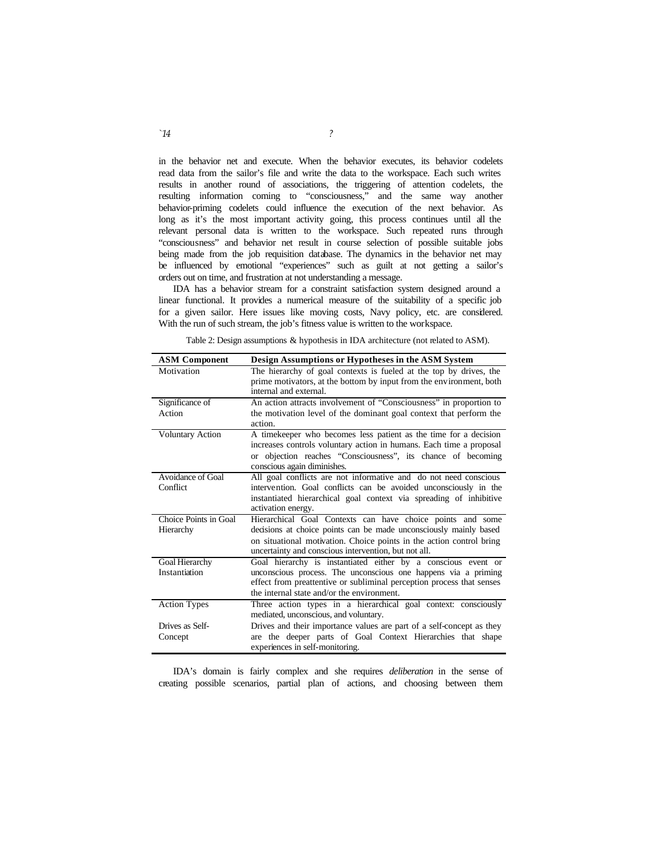in the behavior net and execute. When the behavior executes, its behavior codelets read data from the sailor's file and write the data to the workspace. Each such writes results in another round of associations, the triggering of attention codelets, the resulting information coming to "consciousness," and the same way another behavior-priming codelets could influence the execution of the next behavior. As long as it's the most important activity going, this process continues until all the relevant personal data is written to the workspace. Such repeated runs through "consciousness" and behavior net result in course selection of possible suitable jobs being made from the job requisition database. The dynamics in the behavior net may be influenced by emotional "experiences" such as guilt at not getting a sailor's orders out on time, and frustration at not understanding a message.

IDA has a behavior stream for a constraint satisfaction system designed around a linear functional. It provides a numerical measure of the suitability of a specific job for a given sailor. Here issues like moving costs, Navy policy, etc. are considered. With the run of such stream, the job's fitness value is written to the workspace.

| <b>ASM Component</b>    | Design Assumptions or Hypotheses in the ASM System                    |
|-------------------------|-----------------------------------------------------------------------|
| Motivation              | The hierarchy of goal contexts is fueled at the top by drives, the    |
|                         | prime motivators, at the bottom by input from the environment, both   |
|                         | internal and external.                                                |
| Significance of         | An action attracts involvement of "Consciousness" in proportion to    |
| Action                  | the motivation level of the dominant goal context that perform the    |
|                         | action.                                                               |
| <b>Voluntary Action</b> | A time keeper who becomes less patient as the time for a decision     |
|                         | increases controls voluntary action in humans. Each time a proposal   |
|                         | or objection reaches "Consciousness", its chance of becoming          |
|                         | conscious again diminishes.                                           |
| Avoidance of Goal       | All goal conflicts are not informative and do not need conscious      |
| Conflict                | intervention. Goal conflicts can be avoided unconsciously in the      |
|                         | instantiated hierarchical goal context via spreading of inhibitive    |
|                         | activation energy.                                                    |
| Choice Points in Goal   | Hierarchical Goal Contexts can have choice points and some            |
| Hierarchy               | decisions at choice points can be made unconsciously mainly based     |
|                         | on situational motivation. Choice points in the action control bring  |
|                         | uncertainty and conscious intervention, but not all.                  |
| Goal Hierarchy          | Goal hierarchy is instantiated either by a conscious event or         |
| Instantiation           | unconscious process. The unconscious one happens via a priming        |
|                         | effect from preattentive or subliminal perception process that senses |
|                         | the internal state and/or the environment.                            |
| <b>Action Types</b>     | Three action types in a hierarchical goal context: consciously        |
|                         | mediated, unconscious, and voluntary.                                 |
| Drives as Self-         | Drives and their importance values are part of a self-concept as they |
| Concept                 | are the deeper parts of Goal Context Hierarchies that shape           |
|                         | experiences in self-monitoring.                                       |

Table 2: Design assumptions & hypothesis in IDA architecture (not related to ASM).

IDA's domain is fairly complex and she requires *deliberation* in the sense of creating possible scenarios, partial plan of actions, and choosing between them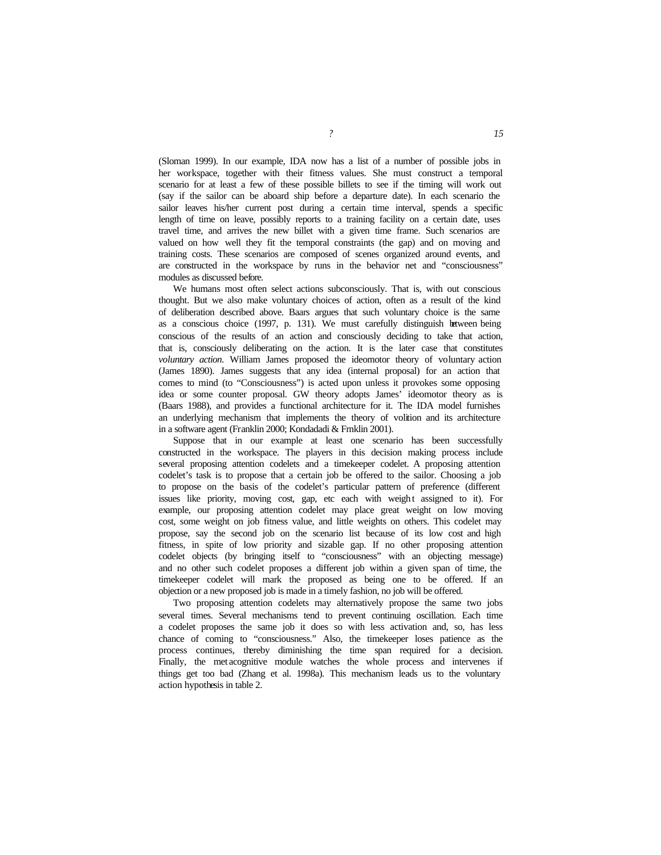(Sloman 1999). In our example, IDA now has a list of a number of possible jobs in her workspace, together with their fitness values. She must construct a temporal scenario for at least a few of these possible billets to see if the timing will work out (say if the sailor can be aboard ship before a departure date). In each scenario the sailor leaves his/her current post during a certain time interval, spends a specific length of time on leave, possibly reports to a training facility on a certain date, uses travel time, and arrives the new billet with a given time frame. Such scenarios are valued on how well they fit the temporal constraints (the gap) and on moving and training costs. These scenarios are composed of scenes organized around events, and are constructed in the workspace by runs in the behavior net and "consciousness" modules as discussed before.

We humans most often select actions subconsciously. That is, with out conscious thought. But we also make voluntary choices of action, often as a result of the kind of deliberation described above. Baars argues that such voluntary choice is the same as a conscious choice (1997, p. 131). We must carefully distinguish between being conscious of the results of an action and consciously deciding to take that action, that is, consciously deliberating on the action. It is the later case that constitutes *voluntary action*. William James proposed the ideomotor theory of voluntary action (James 1890). James suggests that any idea (internal proposal) for an action that comes to mind (to "Consciousness") is acted upon unless it provokes some opposing idea or some counter proposal. GW theory adopts James' ideomotor theory as is (Baars 1988), and provides a functional architecture for it. The IDA model furnishes an underlying mechanism that implements the theory of volition and its architecture in a software agent (Franklin 2000; Kondadadi & Frnklin 2001).

Suppose that in our example at least one scenario has been successfully constructed in the workspace. The players in this decision making process include several proposing attention codelets and a timekeeper codelet. A proposing attention codelet's task is to propose that a certain job be offered to the sailor. Choosing a job to propose on the basis of the codelet's particular pattern of preference (different issues like priority, moving cost, gap, etc each with weight assigned to it). For example, our proposing attention codelet may place great weight on low moving cost, some weight on job fitness value, and little weights on others. This codelet may propose, say the second job on the scenario list because of its low cost and high fitness, in spite of low priority and sizable gap. If no other proposing attention codelet objects (by bringing itself to "consciousness" with an objecting message) and no other such codelet proposes a different job within a given span of time, the timekeeper codelet will mark the proposed as being one to be offered. If an objection or a new proposed job is made in a timely fashion, no job will be offered.

Two proposing attention codelets may alternatively propose the same two jobs several times. Several mechanisms tend to prevent continuing oscillation. Each time a codelet proposes the same job it does so with less activation and, so, has less chance of coming to "consciousness." Also, the timekeeper loses patience as the process continues, thereby diminishing the time span required for a decision. Finally, the met acognitive module watches the whole process and intervenes if things get too bad (Zhang et al. 1998a). This mechanism leads us to the voluntary action hypothesis in table 2.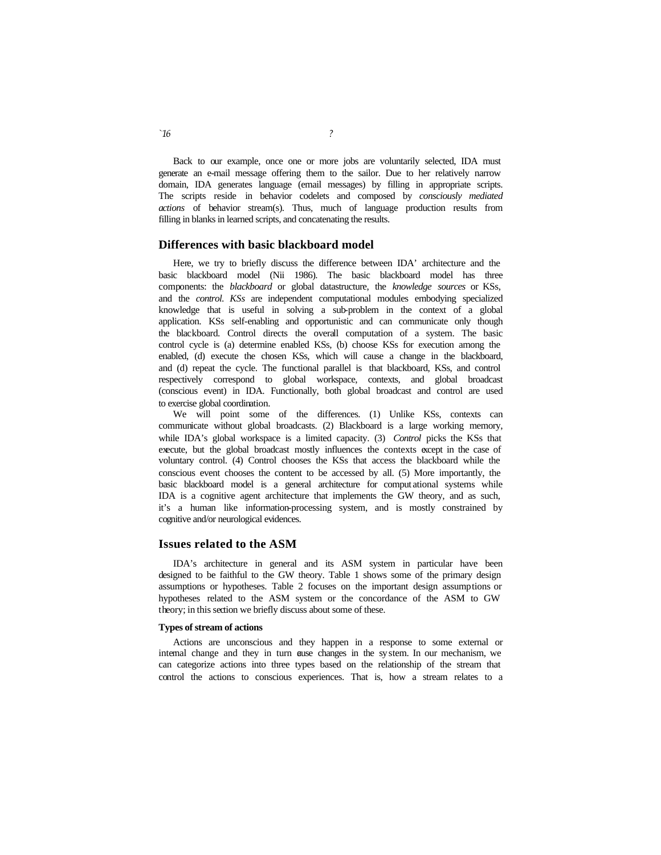Back to our example, once one or more jobs are voluntarily selected, IDA must generate an e-mail message offering them to the sailor. Due to her relatively narrow domain, IDA generates language (email messages) by filling in appropriate scripts. The scripts reside in behavior codelets and composed by *consciously mediated actions* of behavior stream(s). Thus, much of language production results from filling in blanks in learned scripts, and concatenating the results.

### **Differences with basic blackboard model**

Here, we try to briefly discuss the difference between IDA' architecture and the basic blackboard model (Nii 1986). The basic blackboard model has three components: the *blackboard* or global datastructure, the *knowledge sources* or KSs, and the *control*. *KSs* are independent computational modules embodying specialized knowledge that is useful in solving a sub-problem in the context of a global application. KSs self-enabling and opportunistic and can communicate only though the blackboard. Control directs the overall computation of a system. The basic control cycle is (a) determine enabled KSs, (b) choose KSs for execution among the enabled, (d) execute the chosen KSs, which will cause a change in the blackboard, and (d) repeat the cycle. The functional parallel is that blackboard, KSs, and control respectively correspond to global workspace, contexts, and global broadcast (conscious event) in IDA. Functionally, both global broadcast and control are used to exercise global coordination.

We will point some of the differences. (1) Unlike KSs, contexts can communicate without global broadcasts. (2) Blackboard is a large working memory, while IDA's global workspace is a limited capacity. (3) *Control* picks the KSs that execute, but the global broadcast mostly influences the contexts except in the case of voluntary control. (4) Control chooses the KSs that access the blackboard while the conscious event chooses the content to be accessed by all. (5) More importantly, the basic blackboard model is a general architecture for comput ational systems while IDA is a cognitive agent architecture that implements the GW theory, and as such, it's a human like information-processing system, and is mostly constrained by cognitive and/or neurological evidences.

## **Issues related to the ASM**

IDA's architecture in general and its ASM system in particular have been designed to be faithful to the GW theory. Table 1 shows some of the primary design assumptions or hypotheses. Table 2 focuses on the important design assumptions or hypotheses related to the ASM system or the concordance of the ASM to GW theory; in this section we briefly discuss about some of these.

#### **Types of stream of actions**

Actions are unconscious and they happen in a response to some external or internal change and they in turn cuse changes in the system. In our mechanism, we can categorize actions into three types based on the relationship of the stream that control the actions to conscious experiences. That is, how a stream relates to a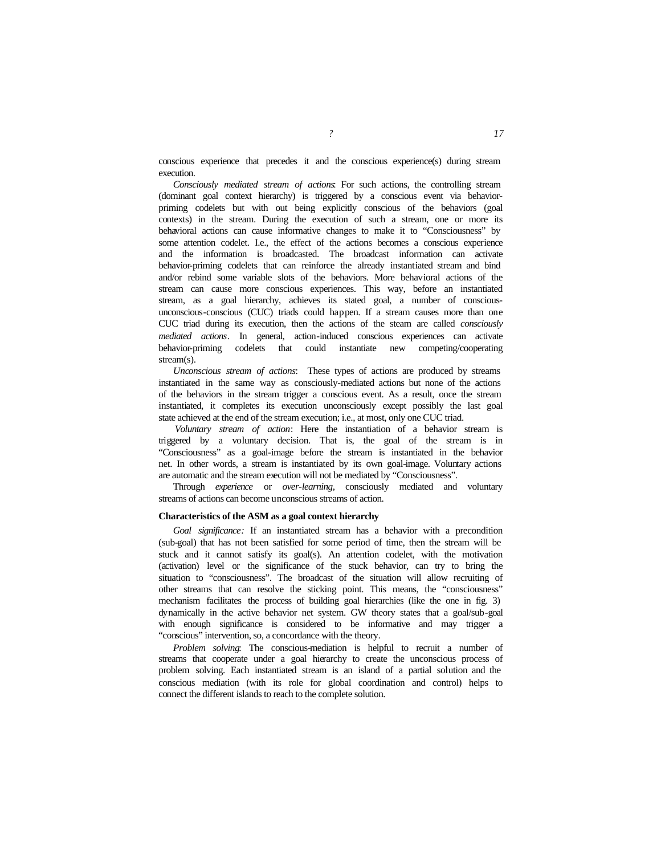conscious experience that precedes it and the conscious experience(s) during stream execution.

*Consciously mediated stream of actions*: For such actions, the controlling stream (dominant goal context hierarchy) is triggered by a conscious event via behaviorpriming codelets but with out being explicitly conscious of the behaviors (goal contexts) in the stream. During the execution of such a stream, one or more its behavioral actions can cause informative changes to make it to "Consciousness" by some attention codelet. I.e., the effect of the actions becomes a conscious experience and the information is broadcasted. The broadcast information can activate behavior-priming codelets that can reinforce the already instantiated stream and bind and/or rebind some variable slots of the behaviors. More behavioral actions of the stream can cause more conscious experiences. This way, before an instantiated stream, as a goal hierarchy, achieves its stated goal, a number of consciousunconscious-conscious (CUC) triads could happen. If a stream causes more than one CUC triad during its execution, then the actions of the steam are called *consciously mediated actions*. In general, action-induced conscious experiences can activate behavior-priming codelets that could instantiate new competing/cooperating stream(s).

*Unconscious stream of actions*: These types of actions are produced by streams instantiated in the same way as consciously-mediated actions but none of the actions of the behaviors in the stream trigger a conscious event. As a result, once the stream instantiated, it completes its execution unconsciously except possibly the last goal state achieved at the end of the stream execution; i.e., at most, only one CUC triad.

*Voluntary stream of action*: Here the instantiation of a behavior stream is triggered by a voluntary decision. That is, the goal of the stream is in "Consciousness" as a goal-image before the stream is instantiated in the behavior net. In other words, a stream is instantiated by its own goal-image. Voluntary actions are automatic and the stream execution will not be mediated by "Consciousness".

Through *experience* or *over-learning*, consciously mediated and voluntary streams of actions can become unconscious streams of action.

## **Characteristics of the ASM as a goal context hierarchy**

*Goal significance:* If an instantiated stream has a behavior with a precondition (sub-goal) that has not been satisfied for some period of time, then the stream will be stuck and it cannot satisfy its goal(s). An attention codelet, with the motivation (activation) level or the significance of the stuck behavior, can try to bring the situation to "consciousness". The broadcast of the situation will allow recruiting of other streams that can resolve the sticking point. This means, the "consciousness" mechanism facilitates the process of building goal hierarchies (like the one in fig. 3) dynamically in the active behavior net system. GW theory states that a goal/sub-goal with enough significance is considered to be informative and may trigger a "conscious" intervention, so, a concordance with the theory.

*Problem solving*: The conscious-mediation is helpful to recruit a number of streams that cooperate under a goal hierarchy to create the unconscious process of problem solving. Each instantiated stream is an island of a partial solution and the conscious mediation (with its role for global coordination and control) helps to connect the different islands to reach to the complete solution.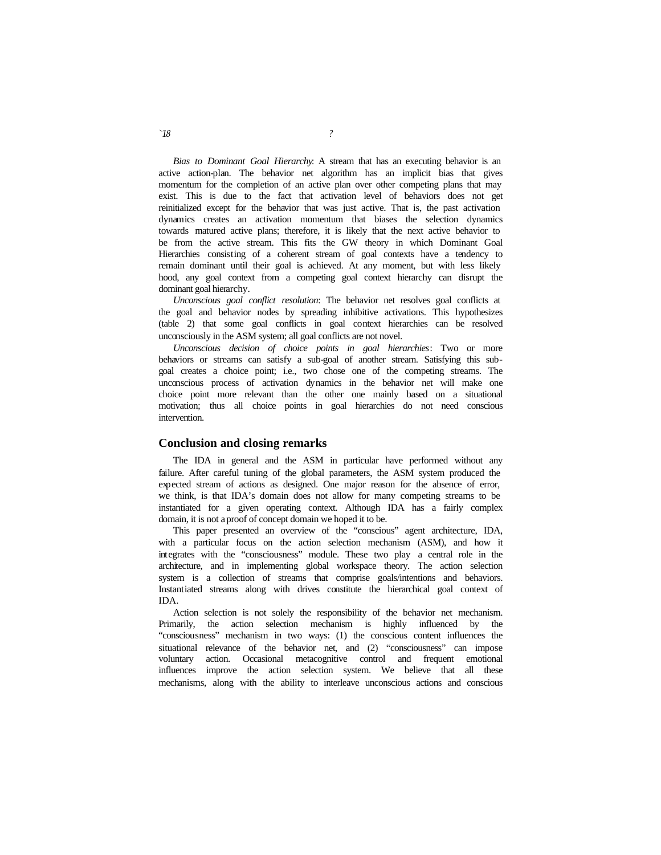*Bias to Dominant Goal Hierarchy*: A stream that has an executing behavior is an active action-plan. The behavior net algorithm has an implicit bias that gives momentum for the completion of an active plan over other competing plans that may exist. This is due to the fact that activation level of behaviors does not get reinitialized except for the behavior that was just active. That is, the past activation dynamics creates an activation momentum that biases the selection dynamics towards matured active plans; therefore, it is likely that the next active behavior to be from the active stream. This fits the GW theory in which Dominant Goal Hierarchies consisting of a coherent stream of goal contexts have a tendency to remain dominant until their goal is achieved. At any moment, but with less likely hood, any goal context from a competing goal context hierarchy can disrupt the dominant goal hierarchy.

*Unconscious goal conflict resolution*: The behavior net resolves goal conflicts at the goal and behavior nodes by spreading inhibitive activations. This hypothesizes (table 2) that some goal conflicts in goal context hierarchies can be resolved unconsciously in the ASM system; all goal conflicts are not novel.

*Unconscious decision of choice points in goal hierarchies*: Two or more behaviors or streams can satisfy a sub-goal of another stream. Satisfying this subgoal creates a choice point; i.e., two chose one of the competing streams. The unconscious process of activation dynamics in the behavior net will make one choice point more relevant than the other one mainly based on a situational motivation; thus all choice points in goal hierarchies do not need conscious intervention.

## **Conclusion and closing remarks**

The IDA in general and the ASM in particular have performed without any failure. After careful tuning of the global parameters, the ASM system produced the expected stream of actions as designed. One major reason for the absence of error, we think, is that IDA's domain does not allow for many competing streams to be instantiated for a given operating context. Although IDA has a fairly complex domain, it is not a proof of concept domain we hoped it to be.

This paper presented an overview of the "conscious" agent architecture, IDA, with a particular focus on the action selection mechanism (ASM), and how it integrates with the "consciousness" module. These two play a central role in the architecture, and in implementing global workspace theory. The action selection system is a collection of streams that comprise goals/intentions and behaviors. Instantiated streams along with drives constitute the hierarchical goal context of IDA.

Action selection is not solely the responsibility of the behavior net mechanism. Primarily, the action selection mechanism is highly influenced by the "consciousness" mechanism in two ways: (1) the conscious content influences the situational relevance of the behavior net, and (2) "consciousness" can impose voluntary action. Occasional metacognitive control and frequent emotional influences improve the action selection system. We believe that all these mechanisms, along with the ability to interleave unconscious actions and conscious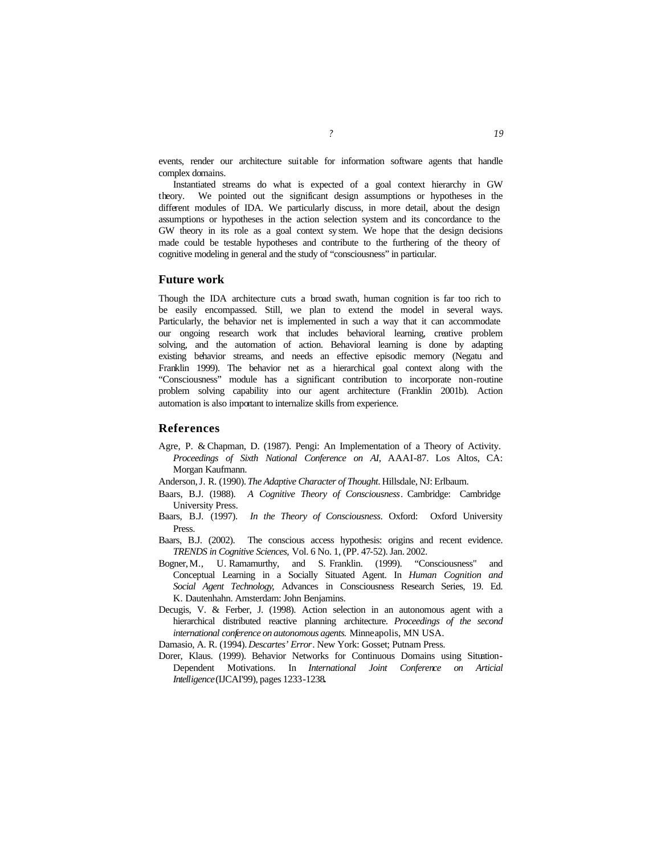events, render our architecture suitable for information software agents that handle complex domains.

Instantiated streams do what is expected of a goal context hierarchy in GW theory. We pointed out the significant design assumptions or hypotheses in the different modules of IDA. We particularly discuss, in more detail, about the design assumptions or hypotheses in the action selection system and its concordance to the GW theory in its role as a goal context sy stem. We hope that the design decisions made could be testable hypotheses and contribute to the furthering of the theory of cognitive modeling in general and the study of "consciousness" in particular.

# **Future work**

Though the IDA architecture cuts a broad swath, human cognition is far too rich to be easily encompassed. Still, we plan to extend the model in several ways. Particularly, the behavior net is implemented in such a way that it can accommodate our ongoing research work that includes behavioral learning, creative problem solving, and the automation of action. Behavioral learning is done by adapting existing behavior streams, and needs an effective episodic memory (Negatu and Franklin 1999). The behavior net as a hierarchical goal context along with the "Consciousness" module has a significant contribution to incorporate non-routine problem solving capability into our agent architecture (Franklin 2001b). Action automation is also important to internalize skills from experience.

# **References**

Agre, P. & Chapman, D. (1987). Pengi: An Implementation of a Theory of Activity. *Proceedings of Sixth National Conference on AI*, AAAI-87. Los Altos, CA: Morgan Kaufmann.

Anderson,J. R. (1990). *The Adaptive Character of Thought*. Hillsdale, NJ: Erlbaum.

- Baars, B.J. (1988). *A Cognitive Theory of Consciousness*. Cambridge: Cambridge University Press.
- Baars, B.J. (1997). *In the Theory of Consciousness*. Oxford: Oxford University Press.
- Baars, B.J. (2002). The conscious access hypothesis: origins and recent evidence. *TRENDS in Cognitive Sciences,* Vol. 6 No. 1, (PP. 47-52). Jan. 2002.
- Bogner,M., U. Ramamurthy, and S. Franklin. (1999). "Consciousness" and Conceptual Learning in a Socially Situated Agent. In *Human Cognition and Social Agent Technology*, Advances in Consciousness Research Series, 19. Ed. K. Dautenhahn. Amsterdam: John Benjamins.
- Decugis, V. & Ferber, J. (1998). Action selection in an autonomous agent with a hierarchical distributed reactive planning architecture. *Proceedings of the second international conference on autonomous agents.* Minneapolis, MN USA.
- Damasio, A. R. (1994). *Descartes' Error*. New York: Gosset; Putnam Press.
- Dorer, Klaus. (1999). Behavior Networks for Continuous Domains using Situation-Dependent Motivations. In *International Joint Conference on Articial Intelligence* (IJCAI'99), pages 1233-1238**.**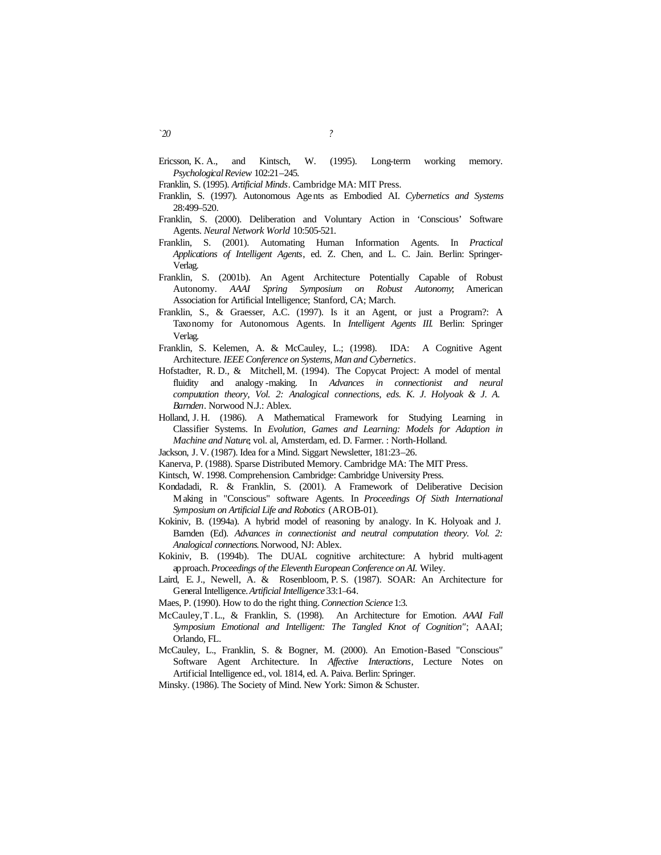- Ericsson, K. A., and Kintsch, W. (1995). Long-term working memory. *Psychological Review* 102:21–245.
- Franklin, S. (1995). *Artificial Minds*. Cambridge MA: MIT Press.
- Franklin, S. (1997). Autonomous Agents as Embodied AI. *Cybernetics and Systems* 28:499–520.
- Franklin, S. (2000). Deliberation and Voluntary Action in 'Conscious' Software Agents. *Neural Network World* 10:505-521.
- Franklin, S. (2001). Automating Human Information Agents. In *Practical Applications of Intelligent Agents*, ed. Z. Chen, and L. C. Jain. Berlin: Springer-Verlag.
- Franklin, S. (2001b). An Agent Architecture Potentially Capable of Robust Autonomy. *AAAI Spring Symposium on Robust Autonomy*; American Association for Artificial Intelligence; Stanford, CA; March.
- Franklin, S., & Graesser, A.C. (1997). Is it an Agent, or just a Program?: A Taxonomy for Autonomous Agents. In *Intelligent Agents III*. Berlin: Springer Verlag.
- Franklin, S. Kelemen, A. & McCauley, L.; (1998). IDA: A Cognitive Agent Architecture*. IEEE Conference on Systems, Man and Cybernetics*.
- Hofstadter, R. D., & Mitchell, M. (1994). The Copycat Project: A model of mental fluidity and analogy -making. In *Advances in connectionist and neural computation theory, Vol. 2: Analogical connections, eds. K. J. Holyoak & J. A. Barnden*. Norwood N.J.: Ablex.
- Holland, J. H. (1986). A Mathematical Framework for Studying Learning in Classifier Systems. In *Evolution, Games and Learning: Models for Adaption in Machine and Nature*, vol. al, Amsterdam, ed. D. Farmer. : North-Holland.
- Jackson, J. V. (1987). Idea for a Mind. Siggart Newsletter, 181:23–26.
- Kanerva, P. (1988). Sparse Distributed Memory. Cambridge MA: The MIT Press.
- Kintsch, W. 1998. Comprehension. Cambridge: Cambridge University Press.
- Kondadadi, R. & Franklin, S. (2001). A Framework of Deliberative Decision Making in "Conscious" software Agents. In *Proceedings Of Sixth International Symposium on Artificial Life and Robotics* (AROB-01).
- Kokiniv, B. (1994a). A hybrid model of reasoning by analogy. In K. Holyoak and J. Barnden (Ed). *Advances in connectionist and neutral computation theory. Vol. 2: Analogical connections.* Norwood, NJ: Ablex.
- Kokiniv, B. (1994b). The DUAL cognitive architecture: A hybrid multi-agent approach. *Proceedings of the Eleventh European Conference on AI.* Wiley.
- Laird, E. J., Newell, A. & Rosenbloom, P. S. (1987). SOAR: An Architecture for General Intelligence. *Artificial Intelligence* 33:1–64.
- Maes, P. (1990). How to do the right thing. *Connection Science* 1:3.
- McCauley,T .L., & Franklin, S. (1998). An Architecture for Emotion. *AAAI Fall Symposium Emotional and Intelligent: The Tangled Knot of Cognition"*; AAAI; Orlando, FL.
- McCauley, L., Franklin, S. & Bogner, M. (2000). An Emotion-Based "Conscious" Software Agent Architecture. In *Affective Interactions*, Lecture Notes on Artificial Intelligence ed., vol. 1814, ed. A. Paiva. Berlin: Springer.
- Minsky. (1986). The Society of Mind. New York: Simon & Schuster.